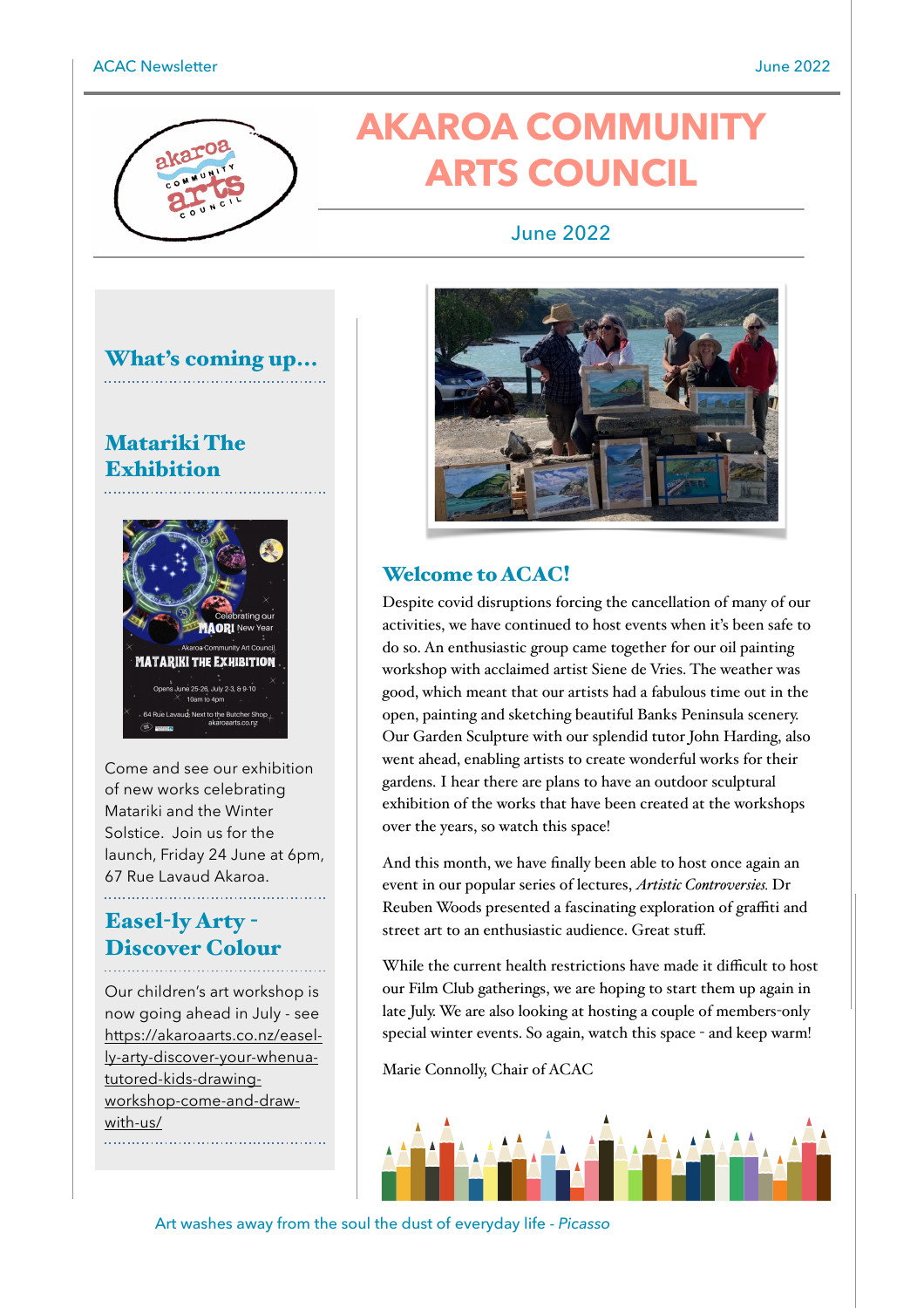# **AKAROA COMMUNITY ARTS COUNCIL**

#### June 2022



### Matariki The **Exhibition**



Come and see our exhibition of new works celebrating Matariki and the Winter Solstice. Join us for the launch, Friday 24 June at 6pm, 67 Rue Lavaud Akaroa.

# Easel-ly Arty - Discover Colour

Our children's art workshop is now going ahead in July - see [https://akaroaarts.co.nz/easel](https://akaroaarts.co.nz/easel-ly-arty-discover-your-whenua-tutored-kids-drawing-workshop-come-and-draw-with-us/)[ly-arty-discover-your-whenua](https://akaroaarts.co.nz/easel-ly-arty-discover-your-whenua-tutored-kids-drawing-workshop-come-and-draw-with-us/)[tutored-kids-drawing](https://akaroaarts.co.nz/easel-ly-arty-discover-your-whenua-tutored-kids-drawing-workshop-come-and-draw-with-us/)[workshop-come-and-draw](https://akaroaarts.co.nz/easel-ly-arty-discover-your-whenua-tutored-kids-drawing-workshop-come-and-draw-with-us/)[with-us/](https://akaroaarts.co.nz/easel-ly-arty-discover-your-whenua-tutored-kids-drawing-workshop-come-and-draw-with-us/)



#### Welcome to ACAC!

Despite covid disruptions forcing the cancellation of many of our activities, we have continued to host events when it's been safe to do so. An enthusiastic group came together for our oil painting workshop with acclaimed artist Siene de Vries. The weather was good, which meant that our artists had a fabulous time out in the open, painting and sketching beautiful Banks Peninsula scenery. Our Garden Sculpture with our splendid tutor John Harding, also went ahead, enabling artists to create wonderful works for their gardens. I hear there are plans to have an outdoor sculptural exhibition of the works that have been created at the workshops over the years, so watch this space!

And this month, we have finally been able to host once again an event in our popular series of lectures, *Artistic Controversies.* Dr Reuben Woods presented a fascinating exploration of graffiti and street art to an enthusiastic audience. Great stuff.

While the current health restrictions have made it difficult to host our Film Club gatherings, we are hoping to start them up again in late July. We are also looking at hosting a couple of members-only special winter events. So again, watch this space - and keep warm!

Marie Connolly, Chair of ACAC



Art washes away from the soul the dust of everyday life - *Picasso*